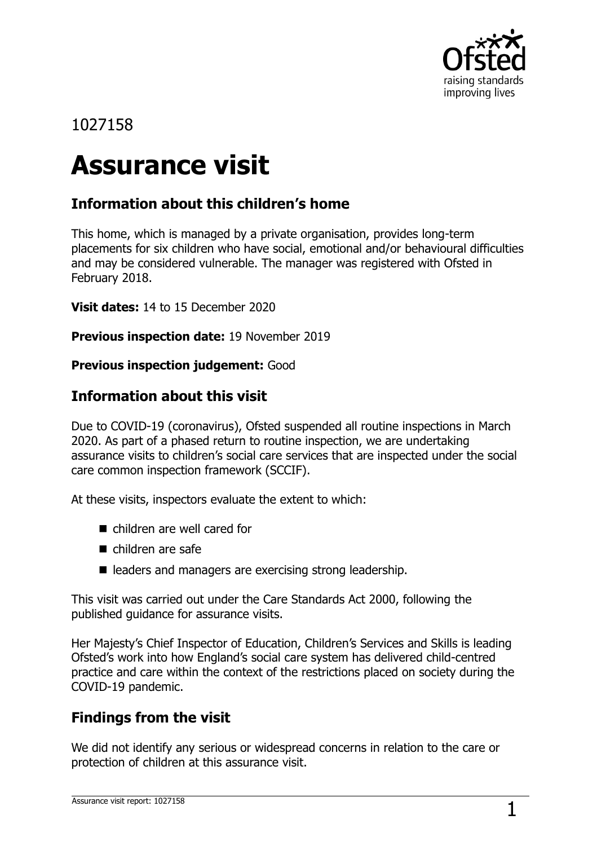

## 1027158

# **Assurance visit**

## **Information about this children's home**

This home, which is managed by a private organisation, provides long-term placements for six children who have social, emotional and/or behavioural difficulties and may be considered vulnerable. The manager was registered with Ofsted in February 2018.

**Visit dates:** 14 to 15 December 2020

**Previous inspection date:** 19 November 2019

**Previous inspection judgement:** Good

## **Information about this visit**

Due to COVID-19 (coronavirus), Ofsted suspended all routine inspections in March 2020. As part of a phased return to routine inspection, we are undertaking assurance visits to children's social care services that are inspected under the social care common inspection framework (SCCIF).

At these visits, inspectors evaluate the extent to which:

- children are well cared for
- children are safe
- $\blacksquare$  leaders and managers are exercising strong leadership.

This visit was carried out under the Care Standards Act 2000, following the published guidance for assurance visits.

Her Majesty's Chief Inspector of Education, Children's Services and Skills is leading Ofsted's work into how England's social care system has delivered child-centred practice and care within the context of the restrictions placed on society during the COVID-19 pandemic.

## **Findings from the visit**

We did not identify any serious or widespread concerns in relation to the care or protection of children at this assurance visit.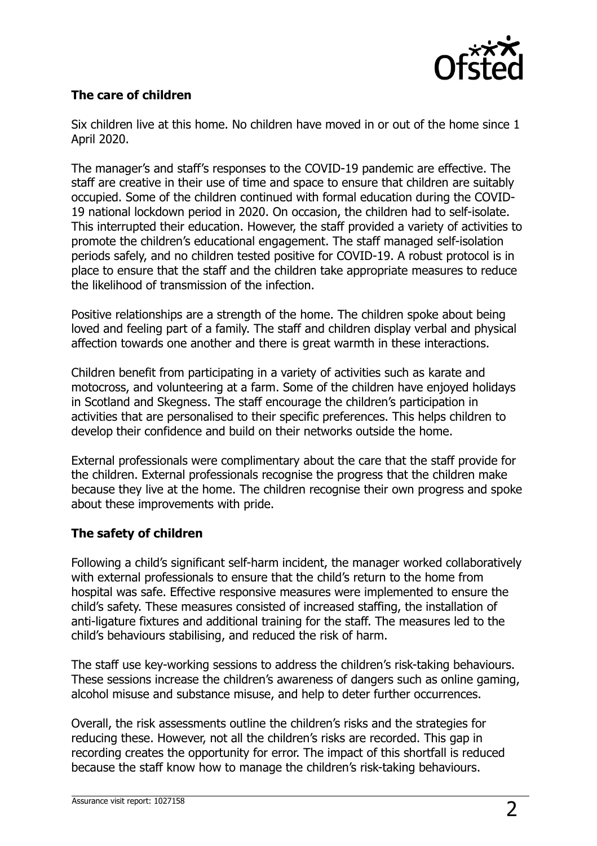

#### **The care of children**

Six children live at this home. No children have moved in or out of the home since 1 April 2020.

The manager's and staff's responses to the COVID-19 pandemic are effective. The staff are creative in their use of time and space to ensure that children are suitably occupied. Some of the children continued with formal education during the COVID-19 national lockdown period in 2020. On occasion, the children had to self-isolate. This interrupted their education. However, the staff provided a variety of activities to promote the children's educational engagement. The staff managed self-isolation periods safely, and no children tested positive for COVID-19. A robust protocol is in place to ensure that the staff and the children take appropriate measures to reduce the likelihood of transmission of the infection.

Positive relationships are a strength of the home. The children spoke about being loved and feeling part of a family. The staff and children display verbal and physical affection towards one another and there is great warmth in these interactions.

Children benefit from participating in a variety of activities such as karate and motocross, and volunteering at a farm. Some of the children have enjoyed holidays in Scotland and Skegness. The staff encourage the children's participation in activities that are personalised to their specific preferences. This helps children to develop their confidence and build on their networks outside the home.

External professionals were complimentary about the care that the staff provide for the children. External professionals recognise the progress that the children make because they live at the home. The children recognise their own progress and spoke about these improvements with pride.

#### **The safety of children**

Following a child's significant self-harm incident, the manager worked collaboratively with external professionals to ensure that the child's return to the home from hospital was safe. Effective responsive measures were implemented to ensure the child's safety. These measures consisted of increased staffing, the installation of anti-ligature fixtures and additional training for the staff. The measures led to the child's behaviours stabilising, and reduced the risk of harm.

The staff use key-working sessions to address the children's risk-taking behaviours. These sessions increase the children's awareness of dangers such as online gaming, alcohol misuse and substance misuse, and help to deter further occurrences.

Overall, the risk assessments outline the children's risks and the strategies for reducing these. However, not all the children's risks are recorded. This gap in recording creates the opportunity for error. The impact of this shortfall is reduced because the staff know how to manage the children's risk-taking behaviours.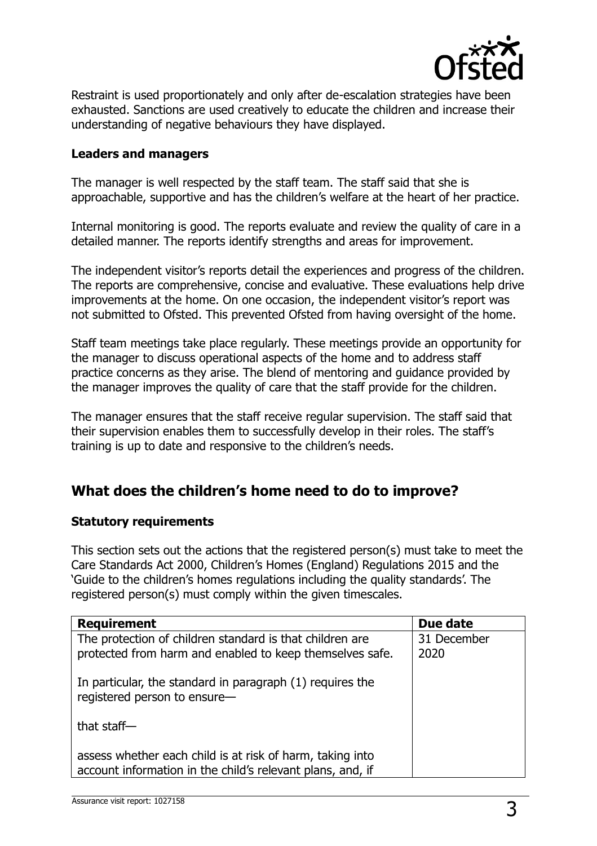

Restraint is used proportionately and only after de-escalation strategies have been exhausted. Sanctions are used creatively to educate the children and increase their understanding of negative behaviours they have displayed.

#### **Leaders and managers**

The manager is well respected by the staff team. The staff said that she is approachable, supportive and has the children's welfare at the heart of her practice.

Internal monitoring is good. The reports evaluate and review the quality of care in a detailed manner. The reports identify strengths and areas for improvement.

The independent visitor's reports detail the experiences and progress of the children. The reports are comprehensive, concise and evaluative. These evaluations help drive improvements at the home. On one occasion, the independent visitor's report was not submitted to Ofsted. This prevented Ofsted from having oversight of the home.

Staff team meetings take place regularly. These meetings provide an opportunity for the manager to discuss operational aspects of the home and to address staff practice concerns as they arise. The blend of mentoring and guidance provided by the manager improves the quality of care that the staff provide for the children.

The manager ensures that the staff receive regular supervision. The staff said that their supervision enables them to successfully develop in their roles. The staff's training is up to date and responsive to the children's needs.

## **What does the children's home need to do to improve?**

#### **Statutory requirements**

This section sets out the actions that the registered person(s) must take to meet the Care Standards Act 2000, Children's Homes (England) Regulations 2015 and the 'Guide to the children's homes regulations including the quality standards'. The registered person(s) must comply within the given timescales.

| <b>Requirement</b>                                                                                                      | Due date            |
|-------------------------------------------------------------------------------------------------------------------------|---------------------|
| The protection of children standard is that children are<br>protected from harm and enabled to keep themselves safe.    | 31 December<br>2020 |
| In particular, the standard in paragraph (1) requires the<br>registered person to ensure-                               |                     |
| that staff $-$                                                                                                          |                     |
| assess whether each child is at risk of harm, taking into<br>account information in the child's relevant plans, and, if |                     |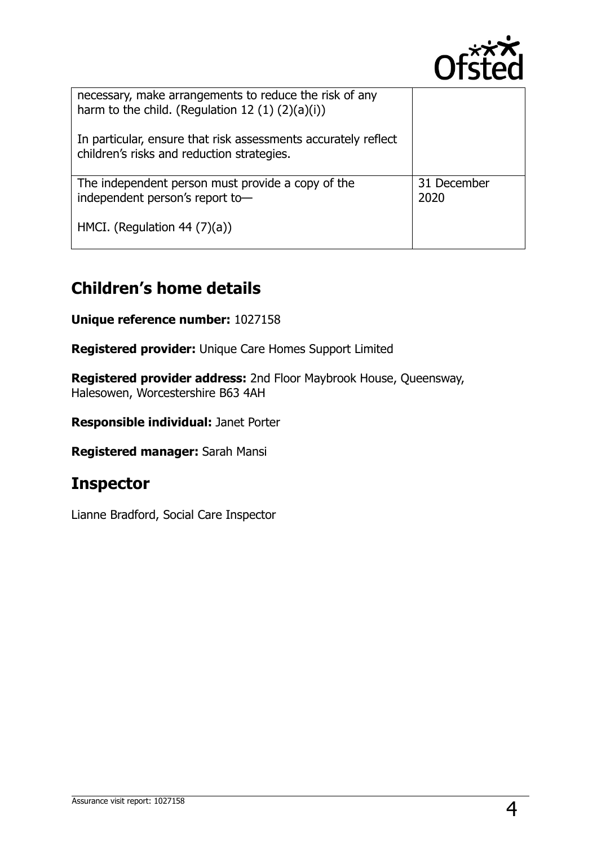

| necessary, make arrangements to reduce the risk of any<br>harm to the child. (Regulation 12 $(1)$ $(2)(a)(i)$ ) |                     |
|-----------------------------------------------------------------------------------------------------------------|---------------------|
| In particular, ensure that risk assessments accurately reflect<br>children's risks and reduction strategies.    |                     |
| The independent person must provide a copy of the<br>independent person's report to-                            | 31 December<br>2020 |
| HMCI. (Regulation 44 $(7)(a)$ )                                                                                 |                     |

# **Children's home details**

**Unique reference number:** 1027158

**Registered provider:** Unique Care Homes Support Limited

**Registered provider address:** 2nd Floor Maybrook House, Queensway, Halesowen, Worcestershire B63 4AH

**Responsible individual:** Janet Porter

**Registered manager:** Sarah Mansi

## **Inspector**

Lianne Bradford, Social Care Inspector